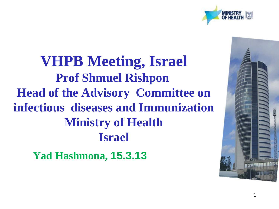

**VHPB Meeting, Israel Prof Shmuel Rishpon Head of the Advisory Committee on infectious diseases and Immunization Ministry of Health Israel**

**Yad Hashmona, 15.3.13**

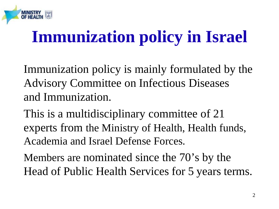

## **Immunization policy in Israel**

Immunization policy is mainly formulated by the Advisory Committee on Infectious Diseases and Immunization.

This is a multidisciplinary committee of 21 experts from the Ministry of Health, Health funds, Academia and Israel Defense Forces.

Members are nominated since the 70's by the Head of Public Health Services for 5 years terms.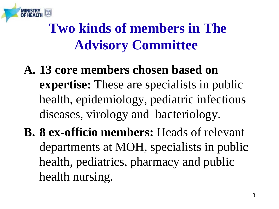

- **A. 13 core members chosen based on expertise:** These are specialists in public health, epidemiology, pediatric infectious diseases, virology and bacteriology.
- **B. 8 ex-officio members:** Heads of relevant departments at MOH, specialists in public health, pediatrics, pharmacy and public health nursing.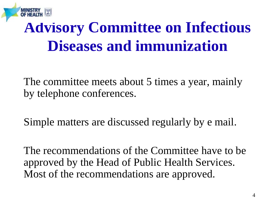

#### **Advisory Committee on Infectious Diseases and immunization**

The committee meets about 5 times a year, mainly by telephone conferences.

Simple matters are discussed regularly by e mail.

The recommendations of the Committee have to be approved by the Head of Public Health Services. Most of the recommendations are approved.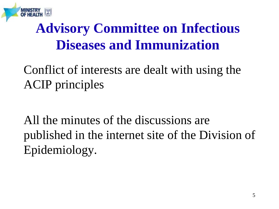

#### **Advisory Committee on Infectious Diseases and Immunization**

#### Conflict of interests are dealt with using the ACIP principles

All the minutes of the discussions are published in the internet site of the Division of Epidemiology.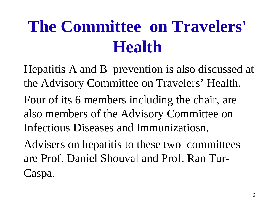# **The Committee on Travelers' Health**

Hepatitis A and B prevention is also discussed at the Advisory Committee on Travelers' Health. Four of its 6 members including the chair, are also members of the Advisory Committee on Infectious Diseases and Immunizatiosn. Advisers on hepatitis to these two committees

are Prof. Daniel Shouval and Prof. Ran Tur-Caspa.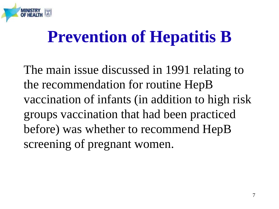

### **Prevention of Hepatitis B**

The main issue discussed in 1991 relating to the recommendation for routine HepB vaccination of infants (in addition to high risk groups vaccination that had been practiced before) was whether to recommend HepB screening of pregnant women.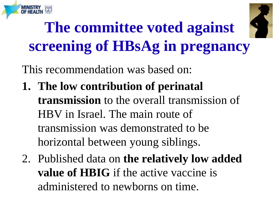



## **The committee voted against screening of HBsAg in pregnancy**

This recommendation was based on:

- **1. The low contribution of perinatal transmission** to the overall transmission of HBV in Israel. The main route of transmission was demonstrated to be horizontal between young siblings.
- 2. Published data on **the relatively low added value of HBIG** if the active vaccine is administered to newborns on time.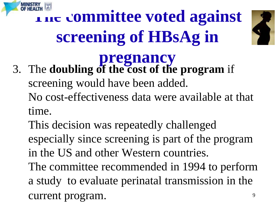

# **The committee voted against screening of HBsAg in**



#### **pregnancy** 3. The **doubling of the cost of the program** if screening would have been added. No cost-effectiveness data were available at that time.

This decision was repeatedly challenged especially since screening is part of the program in the US and other Western countries.

The committee recommended in 1994 to perform a study to evaluate perinatal transmission in the current program.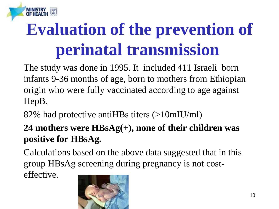

# **Evaluation of the prevention of perinatal transmission**

The study was done in 1995. It included 411 Israeli born infants 9-36 months of age, born to mothers from Ethiopian origin who were fully vaccinated according to age against HepB.

82% had protective antiHBs titers (>10mIU/ml)

#### **24 mothers were HBsAg(+), none of their children was positive for HBsAg.**

Calculations based on the above data suggested that in this group HBsAg screening during pregnancy is not costeffective.

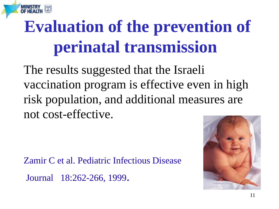# **Evaluation of the prevention of perinatal transmission**

The results suggested that the Israeli vaccination program is effective even in high risk population, and additional measures are not cost-effective.

Zamir C et al. Pediatric Infectious Disease Journal 18:262-266, 1999.

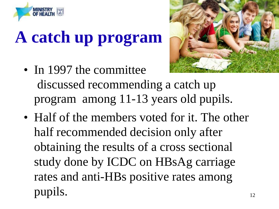

# **A catch up program**

- In 1997 the committee discussed recommending a catch up program among 11-13 years old pupils.
- 12 • Half of the members voted for it. The other half recommended decision only after obtaining the results of a cross sectional study done by ICDC on HBsAg carriage rates and anti-HBs positive rates among pupils.

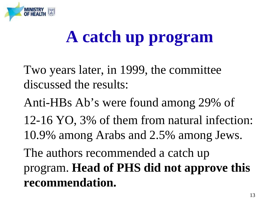

## **A catch up program**

Two years later, in 1999, the committee discussed the results:

Anti-HBs Ab's were found among 29% of

12-16 YO, 3% of them from natural infection: 10.9% among Arabs and 2.5% among Jews.

The authors recommended a catch up program. **Head of PHS did not approve this recommendation.**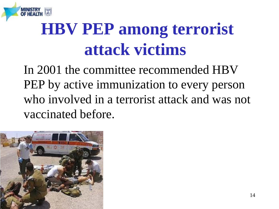

# **HBV PEP among terrorist attack victims**

In 2001 the committee recommended HBV PEP by active immunization to every person who involved in a terrorist attack and was not vaccinated before.

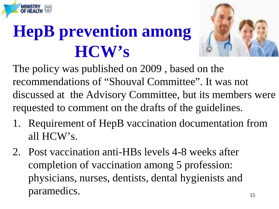# **HepB prevention among HCW's**



The policy was published on 2009 , based on the recommendations of "Shouval Committee". It was not discussed at the Advisory Committee, but its members were requested to comment on the drafts of the guidelines.

- 1. Requirement of HepB vaccination documentation from all HCW's.
- 2. Post vaccination anti-HBs levels 4-8 weeks after completion of vaccination among 5 profession: physicians, nurses, dentists, dental hygienists and paramedics.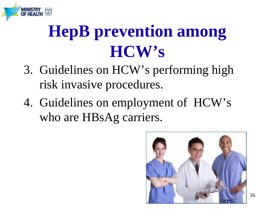

## **HepB prevention among HCW's**

- 3. Guidelines on HCW's performing high risk invasive procedures.
- 4. Guidelines on employment of HCW's who are HBsAg carriers.

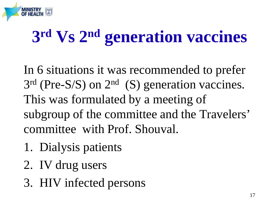

# **3rd Vs 2nd generation vaccines**

In 6 situations it was recommended to prefer  $3<sup>rd</sup>$  (Pre-S/S) on  $2<sup>nd</sup>$  (S) generation vaccines. This was formulated by a meeting of subgroup of the committee and the Travelers' committee with Prof. Shouval.

- 1. Dialysis patients
- 2. IV drug users
- 3. HIV infected persons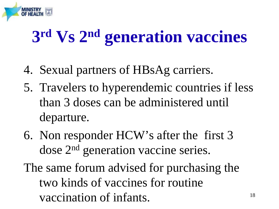

# **3rd Vs 2nd generation vaccines**

- 4. Sexual partners of HBsAg carriers.
- 5. Travelers to hyperendemic countries if less than 3 doses can be administered until departure.
- 6. Non responder HCW's after the first 3 dose 2nd generation vaccine series.
- The same forum advised for purchasing the two kinds of vaccines for routine vaccination of infants.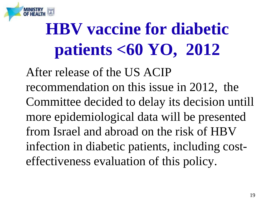

# **HBV vaccine for diabetic patients <60 YO, 2012**

After release of the US ACIP recommendation on this issue in 2012, the Committee decided to delay its decision untill more epidemiological data will be presented from Israel and abroad on the risk of HBV infection in diabetic patients, including costeffectiveness evaluation of this policy.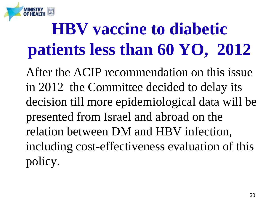

**MINISTR** 

After the ACIP recommendation on this issue in 2012 the Committee decided to delay its decision till more epidemiological data will be presented from Israel and abroad on the relation between DM and HBV infection, including cost-effectiveness evaluation of this policy.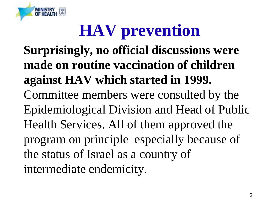

# **HAV prevention**

**Surprisingly, no official discussions were made on routine vaccination of children against HAV which started in 1999.**  Committee members were consulted by the Epidemiological Division and Head of Public Health Services. All of them approved the program on principle especially because of the status of Israel as a country of intermediate endemicity.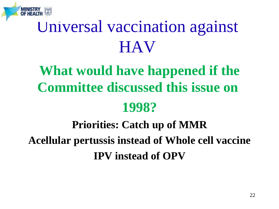

### Universal vaccination against **HAV**

### **What would have happened if the Committee discussed this issue on**

#### **1998?**

#### **Priorities: Catch up of MMR Acellular pertussis instead of Whole cell vaccine IPV instead of OPV**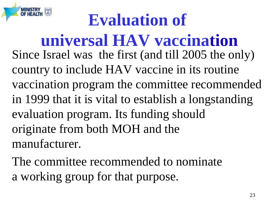# **Evaluation of**

**universal HAV vaccination** Since Israel was the first (and till 2005 the only) country to include HAV vaccine in its routine vaccination program the committee recommended in 1999 that it is vital to establish a longstanding evaluation program. Its funding should originate from both MOH and the manufacturer.

The committee recommended to nominate a working group for that purpose.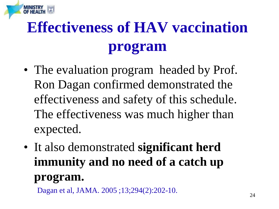## **Effectiveness of HAV vaccination program**

- The evaluation program headed by Prof. Ron Dagan confirmed demonstrated the effectiveness and safety of this schedule. The effectiveness was much higher than expected.
- It also demonstrated **significant herd immunity and no need of a catch up program.**

Dagan et al, JAMA. 2005 ;13;294(2):202-10.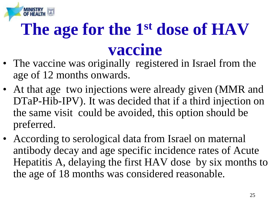# **The age for the 1st dose of HAV vaccine**

- The vaccine was originally registered in Israel from the age of 12 months onwards.
- At that age two injections were already given (MMR and DTaP-Hib-IPV). It was decided that if a third injection on the same visit could be avoided, this option should be preferred.
- According to serological data from Israel on maternal antibody decay and age specific incidence rates of Acute Hepatitis A, delaying the first HAV dose by six months to the age of 18 months was considered reasonable.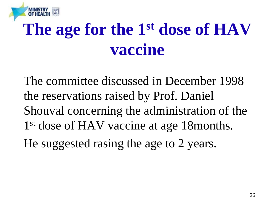# **The age for the 1st dose of HAV vaccine**

The committee discussed in December 1998 the reservations raised by Prof. Daniel Shouval concerning the administration of the 1<sup>st</sup> dose of HAV vaccine at age 18 months. He suggested rasing the age to 2 years.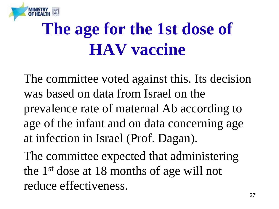

## **The age for the 1st dose of HAV vaccine**

The committee voted against this. Its decision was based on data from Israel on the prevalence rate of maternal Ab according to age of the infant and on data concerning age at infection in Israel (Prof. Dagan).

The committee expected that administering the 1st dose at 18 months of age will not reduce effectiveness.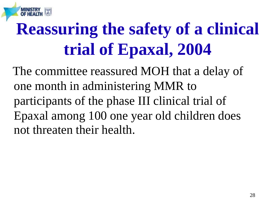# **Reassuring the safety of a clinical trial of Epaxal, 2004**

 The committee reassured MOH that a delay of one month in administering MMR to participants of the phase III clinical trial of Epaxal among 100 one year old children does not threaten their health.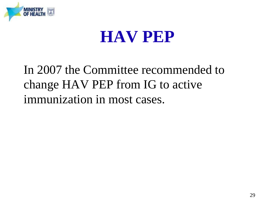

#### **HAV PEP**

#### In 2007 the Committee recommended to change HAV PEP from IG to active immunization in most cases.